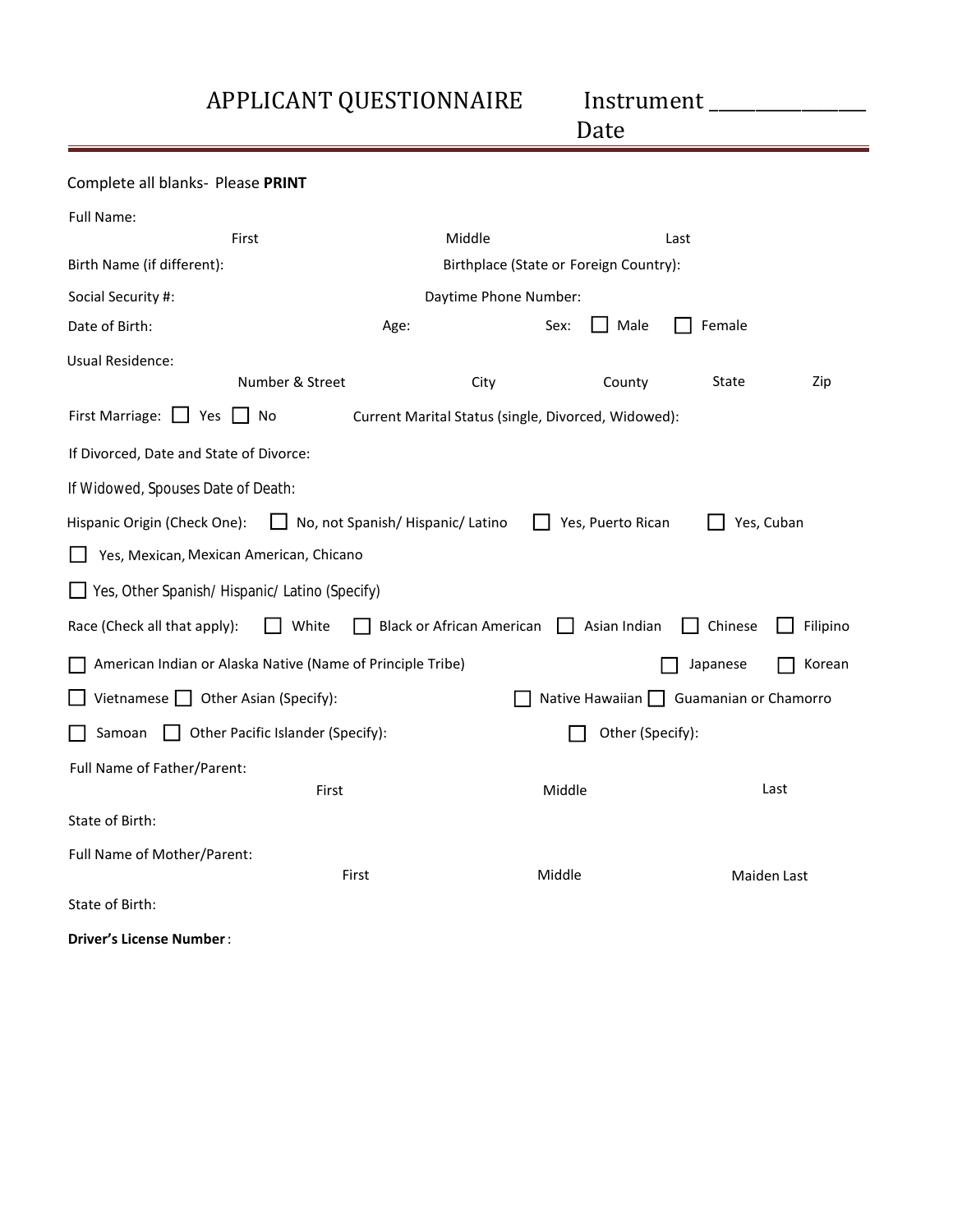APPLICANT QUESTIONNAIRE Instrument \_\_\_\_\_\_\_\_\_\_\_\_\_\_\_\_\_

<u>Date</u>

| Complete all blanks- Please PRINT                                                       |                                                            |                                  |                   |          |             |  |  |
|-----------------------------------------------------------------------------------------|------------------------------------------------------------|----------------------------------|-------------------|----------|-------------|--|--|
| Full Name:                                                                              |                                                            |                                  |                   |          |             |  |  |
|                                                                                         | First                                                      | Middle                           |                   | Last     |             |  |  |
| Birth Name (if different):                                                              | Birthplace (State or Foreign Country):                     |                                  |                   |          |             |  |  |
| Social Security #:                                                                      | Daytime Phone Number:                                      |                                  |                   |          |             |  |  |
| Date of Birth:                                                                          | Age:                                                       |                                  | Male<br>Sex:      | Female   |             |  |  |
| <b>Usual Residence:</b>                                                                 |                                                            |                                  |                   |          |             |  |  |
|                                                                                         | Number & Street                                            | City                             | County            | State    | Zip         |  |  |
| First Marriage: $\Box$ Yes<br>No<br>Current Marital Status (single, Divorced, Widowed): |                                                            |                                  |                   |          |             |  |  |
| If Divorced, Date and State of Divorce:                                                 |                                                            |                                  |                   |          |             |  |  |
| If Widowed, Spouses Date of Death:                                                      |                                                            |                                  |                   |          |             |  |  |
| Hispanic Origin (Check One):                                                            | No, not Spanish/Hispanic/Latino                            |                                  | Yes, Puerto Rican |          | Yes, Cuban  |  |  |
|                                                                                         | Yes, Mexican, Mexican American, Chicano                    |                                  |                   |          |             |  |  |
|                                                                                         | Yes, Other Spanish/Hispanic/Latino (Specify)               |                                  |                   |          |             |  |  |
| Race (Check all that apply):                                                            | White                                                      | <b>Black or African American</b> | Asian Indian      | Chinese  | Filipino    |  |  |
|                                                                                         | American Indian or Alaska Native (Name of Principle Tribe) |                                  |                   | Japanese | Korean      |  |  |
| Vietnamese $\Box$ Other Asian (Specify):<br>Native Hawaiian Guamanian or Chamorro       |                                                            |                                  |                   |          |             |  |  |
| Samoan<br>Other Pacific Islander (Specify):<br>Other (Specify):                         |                                                            |                                  |                   |          |             |  |  |
| Full Name of Father/Parent:                                                             |                                                            |                                  |                   |          |             |  |  |
|                                                                                         | First                                                      |                                  | Middle            |          | Last        |  |  |
| State of Birth:                                                                         |                                                            |                                  |                   |          |             |  |  |
| Full Name of Mother/Parent:                                                             |                                                            |                                  |                   |          |             |  |  |
|                                                                                         | First                                                      |                                  | Middle            |          | Maiden Last |  |  |
| State of Birth:                                                                         |                                                            |                                  |                   |          |             |  |  |
| Driver's License Number:                                                                |                                                            |                                  |                   |          |             |  |  |